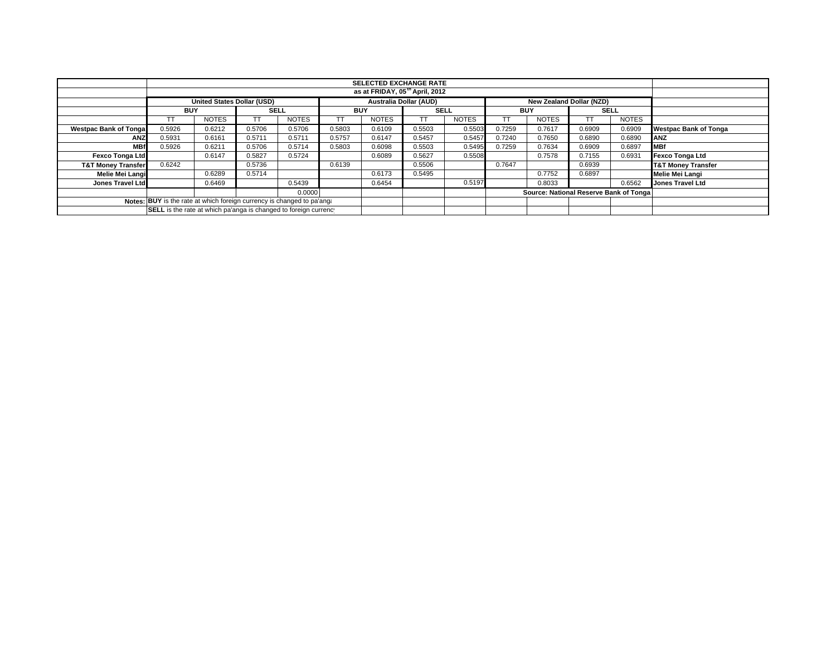| <b>SELECTED EXCHANGE RATE</b>                                          |                                                                                         |              |             |              |            |              |             |              |            |                                        |             |              |                               |
|------------------------------------------------------------------------|-----------------------------------------------------------------------------------------|--------------|-------------|--------------|------------|--------------|-------------|--------------|------------|----------------------------------------|-------------|--------------|-------------------------------|
| as at FRIDAY, 05 <sup>th</sup> April, 2012                             |                                                                                         |              |             |              |            |              |             |              |            |                                        |             |              |                               |
|                                                                        | Australia Dollar (AUD)<br><b>United States Dollar (USD)</b><br>New Zealand Dollar (NZD) |              |             |              |            |              |             |              |            |                                        |             |              |                               |
|                                                                        | <b>BUY</b>                                                                              |              | <b>SELL</b> |              | <b>BUY</b> |              | <b>SELL</b> |              | <b>BUY</b> |                                        | <b>SELL</b> |              |                               |
|                                                                        | TТ                                                                                      | <b>NOTES</b> |             | <b>NOTES</b> |            | <b>NOTES</b> | ТT          | <b>NOTES</b> |            | <b>NOTES</b>                           |             | <b>NOTES</b> |                               |
| <b>Westpac Bank of Tongal</b>                                          | 0.5926                                                                                  | 0.6212       | 0.5706      | 0.5706       | 0.5803     | 0.6109       | 0.5503      | 0.5503       | 0.7259     | 0.7617                                 | 0.6909      | 0.6909       | <b>Westpac Bank of Tonga</b>  |
| <b>ANZ</b>                                                             | 0.5931                                                                                  | 0.6161       | 0.5711      | 0.5711       | 0.5757     | 0.6147       | 0.5457      | 0.5457       | 0.7240     | 0.7650                                 | 0.6890      | 0.6890       | <b>ANZ</b>                    |
| <b>MBf</b>                                                             | 0.5926                                                                                  | 0.6211       | 0.5706      | 0.5714       | 0.5803     | 0.6098       | 0.5503      | 0.5495       | 0.7259     | 0.7634                                 | 0.6909      | 0.6897       | <b>MBf</b>                    |
| <b>Fexco Tonga Ltd</b>                                                 |                                                                                         | 0.6147       | 0.5827      | 0.5724       |            | 0.6089       | 0.5627      | 0.5508       |            | 0.7578                                 | 0.7155      | 0.6931       | Fexco Tonga Ltd               |
| <b>T&amp;T Money Transfer</b>                                          | 0.6242                                                                                  |              | 0.5736      |              | 0.6139     |              | 0.5506      |              | 0.7647     |                                        | 0.6939      |              | <b>T&amp;T Money Transfer</b> |
| Melie Mei Langi                                                        |                                                                                         | 0.6289       | 0.5714      |              |            | 0.6173       | 0.5495      |              |            | 0.7752                                 | 0.6897      |              | Melie Mei Langi               |
| Jones Travel Ltd                                                       |                                                                                         | 0.6469       |             | 0.5439       |            | 0.6454       |             | 0.5197       |            | 0.8033                                 |             | 0.6562       | Jones Travel Ltd              |
| 0.0000                                                                 |                                                                                         |              |             |              |            |              |             |              |            | Source: National Reserve Bank of Tonga |             |              |                               |
| Notes: BUY is the rate at which foreign currency is changed to pa'ang: |                                                                                         |              |             |              |            |              |             |              |            |                                        |             |              |                               |
|                                                                        | SELL is the rate at which pa'anga is changed to foreign currency                        |              |             |              |            |              |             |              |            |                                        |             |              |                               |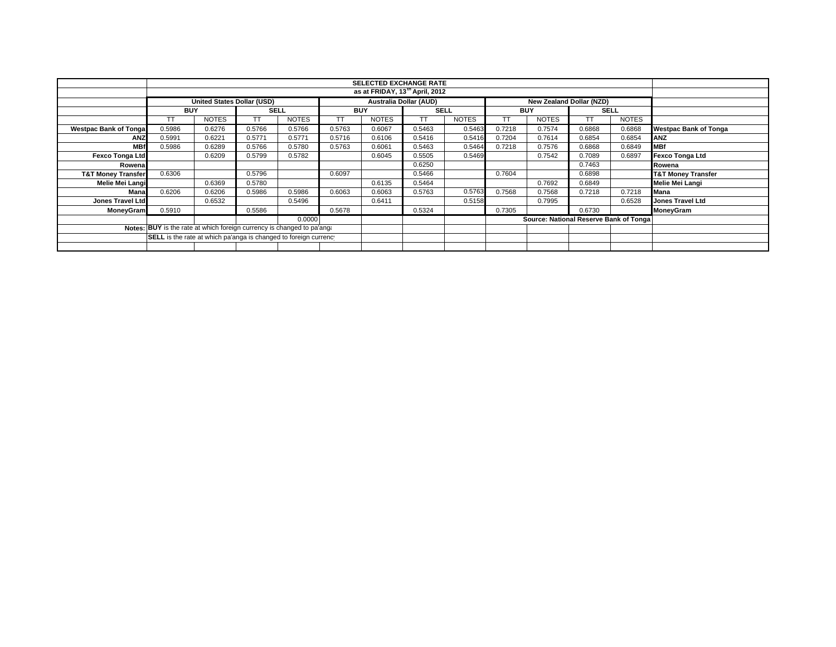|                               |                                                                         | <b>SELECTED EXCHANGE RATE</b><br>as at FRIDAY, 13 <sup>th</sup> April, 2012             |             |                           |        |              |        |              |            |                                        |        |              |                               |
|-------------------------------|-------------------------------------------------------------------------|-----------------------------------------------------------------------------------------|-------------|---------------------------|--------|--------------|--------|--------------|------------|----------------------------------------|--------|--------------|-------------------------------|
|                               |                                                                         | <b>Australia Dollar (AUD)</b><br>United States Dollar (USD)<br>New Zealand Dollar (NZD) |             |                           |        |              |        |              |            |                                        |        |              |                               |
|                               | <b>BUY</b>                                                              |                                                                                         | <b>SELL</b> | <b>SELL</b><br><b>BUY</b> |        |              |        |              | <b>BUY</b> | <b>SELL</b>                            |        |              |                               |
|                               | TT                                                                      | <b>NOTES</b>                                                                            | TT          | <b>NOTES</b>              | ТT     | <b>NOTES</b> | TТ     | <b>NOTES</b> | TΤ         | <b>NOTES</b>                           | TТ     | <b>NOTES</b> |                               |
| <b>Westpac Bank of Tongal</b> | 0.5986                                                                  | 0.6276                                                                                  | 0.5766      | 0.5766                    | 0.5763 | 0.6067       | 0.5463 | 0.5463       | 0.7218     | 0.7574                                 | 0.6868 | 0.6868       | <b>Westpac Bank of Tonga</b>  |
| <b>ANZ</b>                    | 0.5991                                                                  | 0.6221                                                                                  | 0.5771      | 0.5771                    | 0.5716 | 0.6106       | 0.5416 | 0.5416       | 0.7204     | 0.7614                                 | 0.6854 | 0.6854       | <b>ANZ</b>                    |
| <b>MBf</b>                    | 0.5986                                                                  | 0.6289                                                                                  | 0.5766      | 0.5780                    | 0.5763 | 0.6061       | 0.5463 | 0.5464       | 0.7218     | 0.7576                                 | 0.6868 | 0.6849       | <b>MBf</b>                    |
| Fexco Tonga Ltd               |                                                                         | 0.6209                                                                                  | 0.5799      | 0.5782                    |        | 0.6045       | 0.5505 | 0.5469       |            | 0.7542                                 | 0.7089 | 0.6897       | <b>Fexco Tonga Ltd</b>        |
| Rowenal                       |                                                                         |                                                                                         |             |                           |        |              | 0.6250 |              |            |                                        | 0.7463 |              | Rowena                        |
| <b>T&amp;T Money Transfer</b> | 0.6306                                                                  |                                                                                         | 0.5796      |                           | 0.6097 |              | 0.5466 |              | 0.7604     |                                        | 0.6898 |              | <b>T&amp;T Money Transfer</b> |
| Melie Mei Langi               |                                                                         | 0.6369                                                                                  | 0.5780      |                           |        | 0.6135       | 0.5464 |              |            | 0.7692                                 | 0.6849 |              | Melie Mei Langi               |
| Manal                         | 0.6206                                                                  | 0.6206                                                                                  | 0.5986      | 0.5986                    | 0.6063 | 0.6063       | 0.5763 | 0.5763       | 0.7568     | 0.7568                                 | 0.7218 | 0.7218       | Mana                          |
| Jones Travel Ltd              |                                                                         | 0.6532                                                                                  |             | 0.5496                    |        | 0.6411       |        | 0.5158       |            | 0.7995                                 |        | 0.6528       | <b>Jones Travel Ltd</b>       |
| <b>MoneyGram</b>              | 0.5910                                                                  |                                                                                         | 0.5586      |                           | 0.5678 |              | 0.5324 |              | 0.7305     |                                        | 0.6730 |              | MoneyGram                     |
|                               |                                                                         |                                                                                         |             | 0.0000                    |        |              |        |              |            | Source: National Reserve Bank of Tonga |        |              |                               |
|                               | Notes: BUY is the rate at which foreign currency is changed to pa'anged |                                                                                         |             |                           |        |              |        |              |            |                                        |        |              |                               |
|                               | <b>SELL</b> is the rate at which pa'anga is changed to foreign currency |                                                                                         |             |                           |        |              |        |              |            |                                        |        |              |                               |
|                               |                                                                         |                                                                                         |             |                           |        |              |        |              |            |                                        |        |              |                               |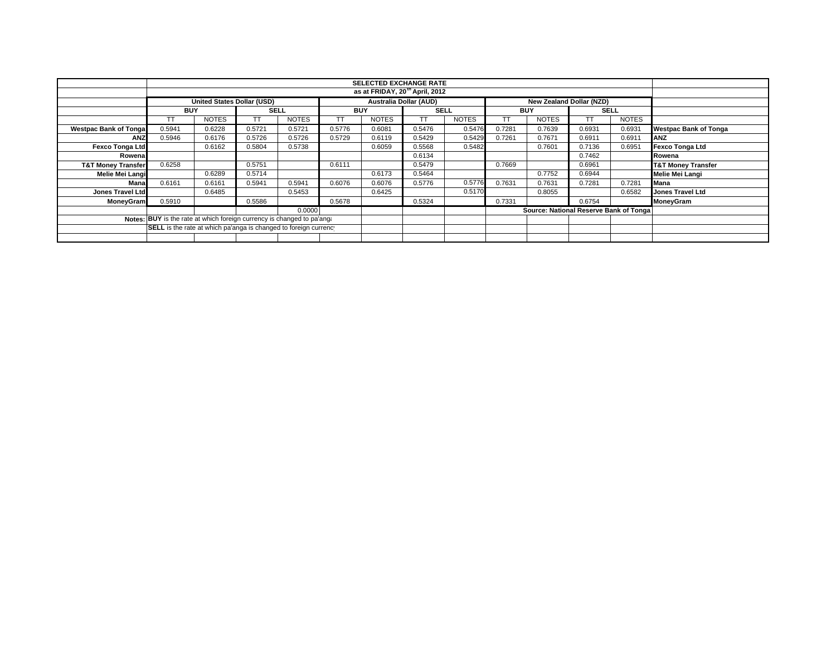|                               |                                                                         |                                                                                                |             |              |            | <b>SELECTED EXCHANGE RATE</b> |             |              |            |                                        |             |              |                               |  |  |
|-------------------------------|-------------------------------------------------------------------------|------------------------------------------------------------------------------------------------|-------------|--------------|------------|-------------------------------|-------------|--------------|------------|----------------------------------------|-------------|--------------|-------------------------------|--|--|
|                               |                                                                         |                                                                                                |             |              |            |                               |             |              |            |                                        |             |              |                               |  |  |
|                               |                                                                         | <b>United States Dollar (USD)</b><br><b>Australia Dollar (AUD)</b><br>New Zealand Dollar (NZD) |             |              |            |                               |             |              |            |                                        |             |              |                               |  |  |
|                               | <b>BUY</b>                                                              |                                                                                                | <b>SELL</b> |              | <b>BUY</b> |                               | <b>SELL</b> |              | <b>BUY</b> |                                        | <b>SELL</b> |              |                               |  |  |
|                               |                                                                         | <b>NOTES</b>                                                                                   |             | <b>NOTES</b> | TT         | <b>NOTES</b>                  | TТ          | <b>NOTES</b> | тт         | <b>NOTES</b>                           | TΤ          | <b>NOTES</b> |                               |  |  |
| <b>Westpac Bank of Tongal</b> | 0.5941                                                                  | 0.6228                                                                                         | 0.5721      | 0.5721       | 0.5776     | 0.6081                        | 0.5476      | 0.5476       | 0.7281     | 0.7639                                 | 0.6931      | 0.6931       | <b>Westpac Bank of Tonga</b>  |  |  |
| <b>ANZ</b>                    | 0.5946                                                                  | 0.6176                                                                                         | 0.5726      | 0.5726       | 0.5729     | 0.6119                        | 0.5429      | 0.5429       | 0.7261     | 0.7671                                 | 0.6911      | 0.6911       | <b>ANZ</b>                    |  |  |
| Fexco Tonga Ltd               |                                                                         | 0.6162                                                                                         | 0.5804      | 0.5738       |            | 0.6059                        | 0.5568      | 0.5482       |            | 0.7601                                 | 0.7136      | 0.6951       | <b>Fexco Tonga Ltd</b>        |  |  |
| Rowena                        |                                                                         |                                                                                                |             |              |            |                               | 0.6134      |              |            |                                        | 0.7462      |              | Rowena                        |  |  |
| <b>T&amp;T Money Transfer</b> | 0.6258                                                                  |                                                                                                | 0.5751      |              | 0.6111     |                               | 0.5479      |              | 0.7669     |                                        | 0.6961      |              | <b>T&amp;T Money Transfer</b> |  |  |
| Melie Mei Langi               |                                                                         | 0.6289                                                                                         | 0.5714      |              |            | 0.6173                        | 0.5464      |              |            | 0.7752                                 | 0.6944      |              | Melie Mei Langi               |  |  |
| Mana                          | 0.6161                                                                  | 0.6161                                                                                         | 0.5941      | 0.5941       | 0.6076     | 0.6076                        | 0.5776      | 0.5776       | 0.7631     | 0.7631                                 | 0.7281      | 0.7281       | Mana                          |  |  |
| Jones Travel Ltd              |                                                                         | 0.6485                                                                                         |             | 0.5453       |            | 0.6425                        |             | 0.5170       |            | 0.8055                                 |             | 0.6582       | <b>Jones Travel Ltd</b>       |  |  |
| <b>MoneyGram</b>              | 0.5910                                                                  |                                                                                                | 0.5586      |              | 0.5678     |                               | 0.5324      |              | 0.7331     |                                        | 0.6754      |              | MoneyGram                     |  |  |
|                               |                                                                         |                                                                                                |             | 0.0000       |            |                               |             |              |            | Source: National Reserve Bank of Tonga |             |              |                               |  |  |
|                               | Notes: BUY is the rate at which foreign currency is changed to pa'anged |                                                                                                |             |              |            |                               |             |              |            |                                        |             |              |                               |  |  |
|                               | SELL is the rate at which pa'anga is changed to foreign currency        |                                                                                                |             |              |            |                               |             |              |            |                                        |             |              |                               |  |  |
|                               |                                                                         |                                                                                                |             |              |            |                               |             |              |            |                                        |             |              |                               |  |  |